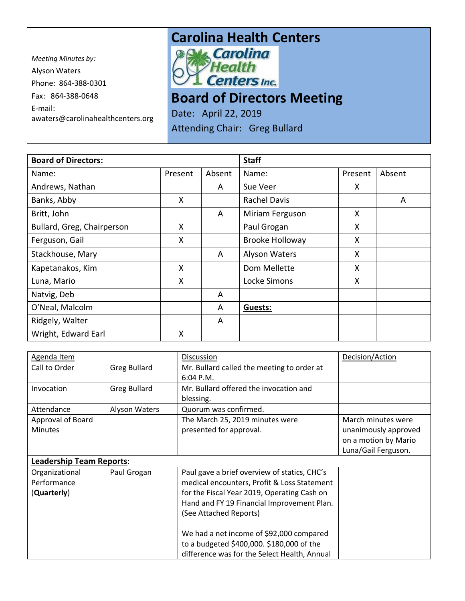*Meeting Minutes by:*  Alyson Waters Phone: 864-388-0301 Fax: 864-388-0648 E-mail: awaters@carolinahealthcenters.org

## **Carolina Health Centers**<br>*PAM Carolina*



**Board of Directors Meeting** 

Date: April 22, 2019 Attending Chair: Greg Bullard

| <b>Board of Directors:</b> |         |        | <b>Staff</b>           |         |        |
|----------------------------|---------|--------|------------------------|---------|--------|
| Name:                      | Present | Absent | Name:                  | Present | Absent |
| Andrews, Nathan            |         | A      | Sue Veer               | X.      |        |
| Banks, Abby                | X       |        | <b>Rachel Davis</b>    |         | A      |
| Britt, John                |         | A      | Miriam Ferguson        | X       |        |
| Bullard, Greg, Chairperson | X       |        | Paul Grogan            | X       |        |
| Ferguson, Gail             | X       |        | <b>Brooke Holloway</b> | X       |        |
| Stackhouse, Mary           |         | A      | Alyson Waters          | X       |        |
| Kapetanakos, Kim           | X       |        | Dom Mellette           | X.      |        |
| Luna, Mario                | X       |        | Locke Simons           | X       |        |
| Natvig, Deb                |         | A      |                        |         |        |
| O'Neal, Malcolm            |         | A      | Guests:                |         |        |
| Ridgely, Walter            |         | A      |                        |         |        |
| Wright, Edward Earl        | X       |        |                        |         |        |

| Agenda Item                     |                      | <b>Discussion</b>                            | Decision/Action      |
|---------------------------------|----------------------|----------------------------------------------|----------------------|
| Call to Order                   | <b>Greg Bullard</b>  | Mr. Bullard called the meeting to order at   |                      |
|                                 |                      | 6:04 P.M.                                    |                      |
| Invocation                      | <b>Greg Bullard</b>  | Mr. Bullard offered the invocation and       |                      |
|                                 |                      | blessing.                                    |                      |
| Attendance                      | <b>Alyson Waters</b> | Quorum was confirmed.                        |                      |
| Approval of Board               |                      | The March 25, 2019 minutes were              | March minutes were   |
| <b>Minutes</b>                  |                      | presented for approval.                      | unanimously approved |
|                                 |                      |                                              | on a motion by Mario |
|                                 |                      |                                              | Luna/Gail Ferguson.  |
| <b>Leadership Team Reports:</b> |                      |                                              |                      |
| Organizational                  | Paul Grogan          | Paul gave a brief overview of statics, CHC's |                      |
| Performance                     |                      | medical encounters, Profit & Loss Statement  |                      |
| (Quarterly)                     |                      | for the Fiscal Year 2019, Operating Cash on  |                      |
|                                 |                      | Hand and FY 19 Financial Improvement Plan.   |                      |
|                                 |                      | (See Attached Reports)                       |                      |
|                                 |                      |                                              |                      |
|                                 |                      | We had a net income of \$92,000 compared     |                      |
|                                 |                      | to a budgeted \$400,000. \$180,000 of the    |                      |
|                                 |                      | difference was for the Select Health, Annual |                      |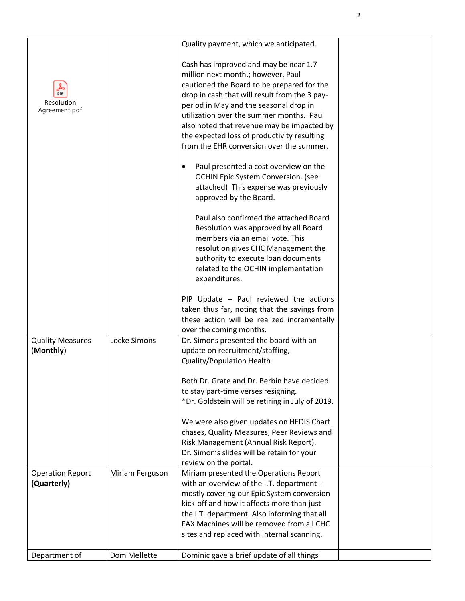|                                           |                 | Quality payment, which we anticipated.                                                                                                                                                                                                                                                                                                                                                                    |  |
|-------------------------------------------|-----------------|-----------------------------------------------------------------------------------------------------------------------------------------------------------------------------------------------------------------------------------------------------------------------------------------------------------------------------------------------------------------------------------------------------------|--|
| <b>PDF</b><br>Resolution<br>Agreement.pdf |                 | Cash has improved and may be near 1.7<br>million next month.; however, Paul<br>cautioned the Board to be prepared for the<br>drop in cash that will result from the 3 pay-<br>period in May and the seasonal drop in<br>utilization over the summer months. Paul<br>also noted that revenue may be impacted by<br>the expected loss of productivity resulting<br>from the EHR conversion over the summer. |  |
|                                           |                 | Paul presented a cost overview on the<br>OCHIN Epic System Conversion. (see<br>attached) This expense was previously<br>approved by the Board.                                                                                                                                                                                                                                                            |  |
|                                           |                 | Paul also confirmed the attached Board<br>Resolution was approved by all Board<br>members via an email vote. This<br>resolution gives CHC Management the<br>authority to execute loan documents<br>related to the OCHIN implementation<br>expenditures.                                                                                                                                                   |  |
|                                           |                 | PIP Update - Paul reviewed the actions<br>taken thus far, noting that the savings from<br>these action will be realized incrementally<br>over the coming months.                                                                                                                                                                                                                                          |  |
| <b>Quality Measures</b><br>(Monthly)      | Locke Simons    | Dr. Simons presented the board with an<br>update on recruitment/staffing,<br><b>Quality/Population Health</b>                                                                                                                                                                                                                                                                                             |  |
|                                           |                 | Both Dr. Grate and Dr. Berbin have decided<br>to stay part-time verses resigning.<br>*Dr. Goldstein will be retiring in July of 2019.                                                                                                                                                                                                                                                                     |  |
|                                           |                 | We were also given updates on HEDIS Chart<br>chases, Quality Measures, Peer Reviews and<br>Risk Management (Annual Risk Report).<br>Dr. Simon's slides will be retain for your<br>review on the portal.                                                                                                                                                                                                   |  |
| <b>Operation Report</b><br>(Quarterly)    | Miriam Ferguson | Miriam presented the Operations Report<br>with an overview of the I.T. department -<br>mostly covering our Epic System conversion<br>kick-off and how it affects more than just<br>the I.T. department. Also informing that all<br>FAX Machines will be removed from all CHC                                                                                                                              |  |
|                                           |                 | sites and replaced with Internal scanning.                                                                                                                                                                                                                                                                                                                                                                |  |
| Department of                             | Dom Mellette    | Dominic gave a brief update of all things                                                                                                                                                                                                                                                                                                                                                                 |  |

2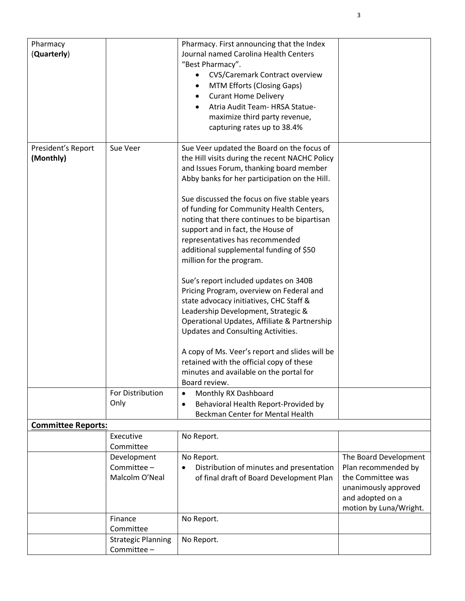| Pharmacy                  |                           | Pharmacy. First announcing that the Index         |                        |
|---------------------------|---------------------------|---------------------------------------------------|------------------------|
| (Quarterly)               |                           | Journal named Carolina Health Centers             |                        |
|                           |                           | "Best Pharmacy".                                  |                        |
|                           |                           | <b>CVS/Caremark Contract overview</b>             |                        |
|                           |                           | MTM Efforts (Closing Gaps)                        |                        |
|                           |                           | <b>Curant Home Delivery</b>                       |                        |
|                           |                           | Atria Audit Team- HRSA Statue-                    |                        |
|                           |                           | maximize third party revenue,                     |                        |
|                           |                           | capturing rates up to 38.4%                       |                        |
|                           |                           |                                                   |                        |
| President's Report        | Sue Veer                  | Sue Veer updated the Board on the focus of        |                        |
| (Monthly)                 |                           | the Hill visits during the recent NACHC Policy    |                        |
|                           |                           | and Issues Forum, thanking board member           |                        |
|                           |                           | Abby banks for her participation on the Hill.     |                        |
|                           |                           |                                                   |                        |
|                           |                           | Sue discussed the focus on five stable years      |                        |
|                           |                           | of funding for Community Health Centers,          |                        |
|                           |                           | noting that there continues to be bipartisan      |                        |
|                           |                           | support and in fact, the House of                 |                        |
|                           |                           | representatives has recommended                   |                        |
|                           |                           | additional supplemental funding of \$50           |                        |
|                           |                           | million for the program.                          |                        |
|                           |                           | Sue's report included updates on 340B             |                        |
|                           |                           | Pricing Program, overview on Federal and          |                        |
|                           |                           | state advocacy initiatives, CHC Staff &           |                        |
|                           |                           | Leadership Development, Strategic &               |                        |
|                           |                           | Operational Updates, Affiliate & Partnership      |                        |
|                           |                           | Updates and Consulting Activities.                |                        |
|                           |                           |                                                   |                        |
|                           |                           | A copy of Ms. Veer's report and slides will be    |                        |
|                           |                           | retained with the official copy of these          |                        |
|                           |                           | minutes and available on the portal for           |                        |
|                           |                           | Board review.                                     |                        |
|                           | For Distribution          | Monthly RX Dashboard<br>$\bullet$                 |                        |
|                           | Only                      | Behavioral Health Report-Provided by<br>$\bullet$ |                        |
|                           |                           | <b>Beckman Center for Mental Health</b>           |                        |
| <b>Committee Reports:</b> |                           |                                                   |                        |
|                           | Executive                 | No Report.                                        |                        |
|                           | Committee                 |                                                   |                        |
|                           | Development               | No Report.                                        | The Board Development  |
|                           | Committee -               | Distribution of minutes and presentation          | Plan recommended by    |
|                           | Malcolm O'Neal            | of final draft of Board Development Plan          | the Committee was      |
|                           |                           |                                                   | unanimously approved   |
|                           |                           |                                                   | and adopted on a       |
|                           |                           |                                                   | motion by Luna/Wright. |
|                           | Finance                   | No Report.                                        |                        |
|                           | Committee                 |                                                   |                        |
|                           | <b>Strategic Planning</b> | No Report.                                        |                        |
|                           | Committee -               |                                                   |                        |